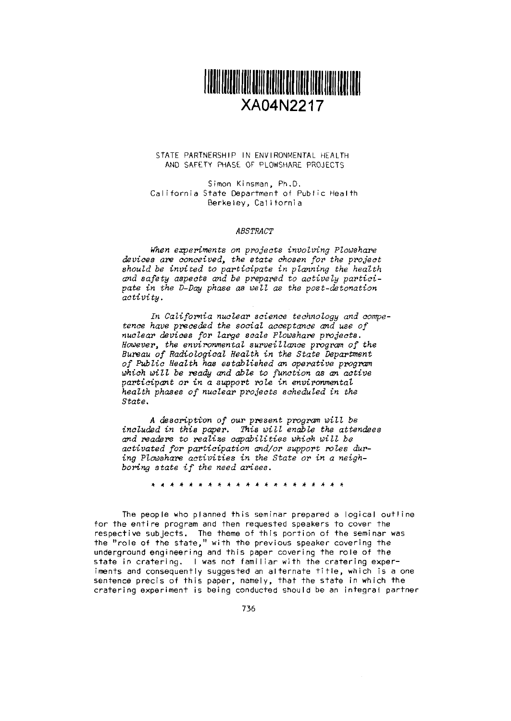

#### STATE PARTNERSHIP IN ENVIRONMENTAL HEALTH AND SAFETY PHASE OF PLOWSHARE PROJECTS

Simon Kinsman, Ph.D. California State Department of Public Health Berkeley, California

#### *ABSTRACT*

*When experiments on projects involving Plowshare devices are conceived, the state chosen for the project* should be invited to participate in planning the health *and safety aspects and be prepared to actively partici*pate in *the D-Day phase as well as the post-detonation activity.*

*In California nuclear cience technology and competence have peceded the social acceptance and use of nuclear devices for large scale Plowshare projects. However,* the environmental *surveillance pogram of the* Bureau of Radiological Health in the State Department *of* Public *Health has etablished an operative program* which will be ready and able to function as an active participant or in a support role in environmental *health phases of nuclear projects scheduled in* the *State.*

<sup>A</sup>*description of* our present *program will be* included in *this paper. This will* enable the *attendees and readers to* realize *capabilities which will be activated for participation andlor support roles dur*ing Plowshare activities in the *State* or in a neigh*boring state if the need arises.* 

A \* \* A \* \* \* \* \* \* \* \* \* \* \*

The people who planned this seminar prepared a logical outline for the entire program and then requested speakers to cover the respective subjects. The theme of this portion of the seminar was the "role of the state," with the previous speaker covering the underground engineering and this paper covering the role of the state in cratering. I was not familiar with the cratering experiments and consequently suggested an alternate title, which is a one sentence precis of this paper, namely, that the state in which the cratering experiment is being conducted should be an integral partner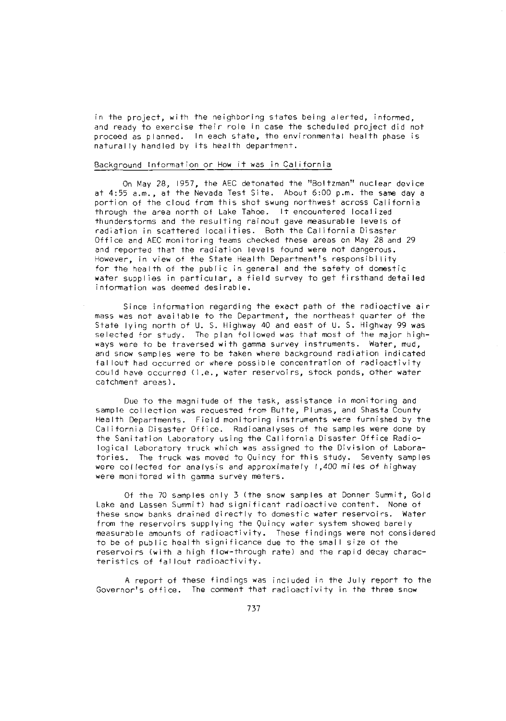in the project, with the neighboring states being alerted, informed, and ready to exercise their role in case the scheduled project did not proceed as planned. In each state, the environmental health phase is naturally handled by its health department.

# Background Information or How it was in California

On May 28, 1957, the AEC detonated the "Boltzman" nuclear device at 4:55 a.m., at the Nevada Test Site. About 6:00 p.m. the same day a portion of the cloud from this shot swung northwest across California through the area north of Lake Tahoe. It encountered localized thunderstorms and the resulting rainout gave measurable levels of radiation in scattered localities. Both the California Disaster Office and AEC monitoring teams checked these areas on May 28 and 29 and reported that the radiation levels found were not dangerous. However, in view of the State Health Department's responsibility for the health of the public in general and the safety of domestic water supplies in particular, a field survey to get firsthand detailed information was deemed desirable.

Since information regarding the exact path of the radioactive air mass was not available to the Department, the northeast quarter of the State lying north of U. S. Highway 40 and east of U. S. Highway 99 was selected for study. The plan followed was that most of the major high ways were to be traversed with gamma survey instruments. Water, mud. and snow samples were to be taken where background radiation indicated fallout had occurred or where possible concentration of radioactivity could have occurred (i.e., water reservoirs, stock ponds, other water catchment areas).

Due to the magnitude of the task, assistance in monitoring and sample collection was requested from Butte, Plumas, and Shasta County Health Departments. Field monitoring instruments were furnished by the California Disaster Office. Radioanalyses of the samples were done by the Sanitation Laboratory using the California Disaster Office Radiological Laboratory truck which was assigned to the Division of Laboratories. The truck was moved to Quincy for this study. Seventy samples were collected for analysis and approximately 1,400 miles of highway were monitored with gamma survey meters.

Of the 70 samples only 3 (the snow samples at Donner Summit, Gold Lake and Lassen Summit) had significant radioactive content. None of these snow banks drained directly to domestic water reservoirs. Water from the reservoirs supplying the Quincy water system showed barely measurable amounts of radioactivity. These findings were not considered to be of public health significance due to the small size of the reservoirs (with a high flow-though rate) and the rapid decay characteristics of fallout radioactivity.

A report of these findings was included in the July report to the Governor's office. The comment that radioactivity in the three snow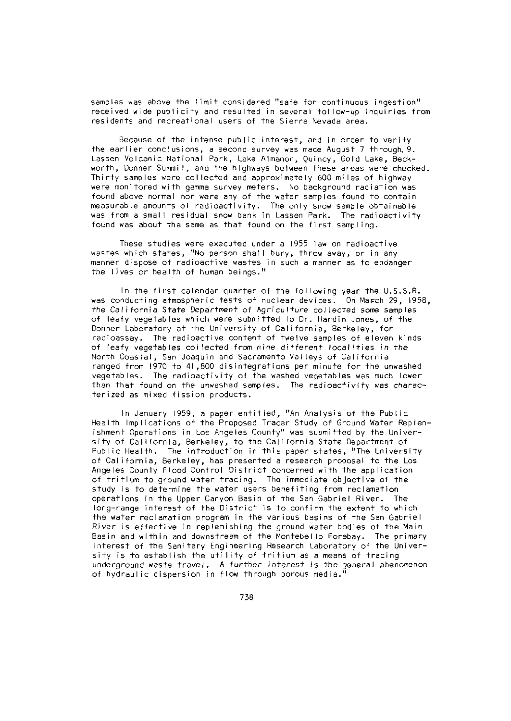samples was above the limit considered "safe for continuous ingestion" received wide publicity and resulted in several follow-up inquiries from residents and recreational users of the Sierra Nevada area.

Because of the intense public interest, and in order to verify the earlier conclusions, a second survey was made August 7 through.9. Lassen Volcanic National Park, Lake Almanor, Quincy, Gold Lake, Beckworth, Donner Summit, and the highways between these areas were checked. Thirty samples were collected and approximately 600 miles of highway were monitored with gamma survey meters. No background radiation was found above normal nor were any of the water samples found to contain measurable amounts of radioactivity. The only snow sample obtainable was from a small residual snow bank in Lassen Park. The radioactivity found was about the same as that found on the first sampling.

These studies were executed under a 1955 law on radioactive wastes which states, "No person shall bury, throw away, or in any manner dispose of radioactive wastes in such a manner as to endanger the lives or health of human beings."

In the first calendar quarter of the following year the U.S.S.R. was conducting atmospheric tests of nuclear devices. On March 29, 1958, the *California* State Department of Agriculture collected some samples of leafy vegetables which were submitted to Dr. Hardin Jones, of the Donner Laboratory at the University of California, Berkeley, for radioassay. The radioactive content of twelve samples of eleven kinds of leafy vegetables collected from nine different localities in the North Coastal, San Joaquin and Sacramento Valleys of California ranged from 1970 to 41,800 disintegrations per minute for the unwashed vegetables. The radioactivity of the washed vegetables was much lower than that found on the unwashed samples. The radioactivity was characterized as mixed fission products.

In January 1959, a paper entitled, "An Analysis of the Public Health Implications of the Proposed Tracer Study of Ground Water Replenishment Operations in Los ngeles County" was submitted by the University of California, Berkeley, to the California State Department of Public Health. The introduction in this paper states, "The University of California, Berkeley, has presented a research proposal to the Los Angeles County Flood Control District concerned with the application of tritium to ground water tracing. The immediate objective of the study is to determine the water users benefiting from reclamation operations in the Upper Canyon Basin of the San Gabriel River. The long-range interest of the District is to confirm the extent to which the water reclamation program in the various basins of the San Gabriel River is effective in replenishing the ground water bodies of the Main Basin and within and downstream of the Montebello Forebay. The primary interest of the Sanitary Engineering Research Laboratory of the Univer-5ity is to establish the utility of tritium as a means of tracing underground waste *travel. A* further interest is the general phenomenon of hydraulic dispersion in flow through porous media."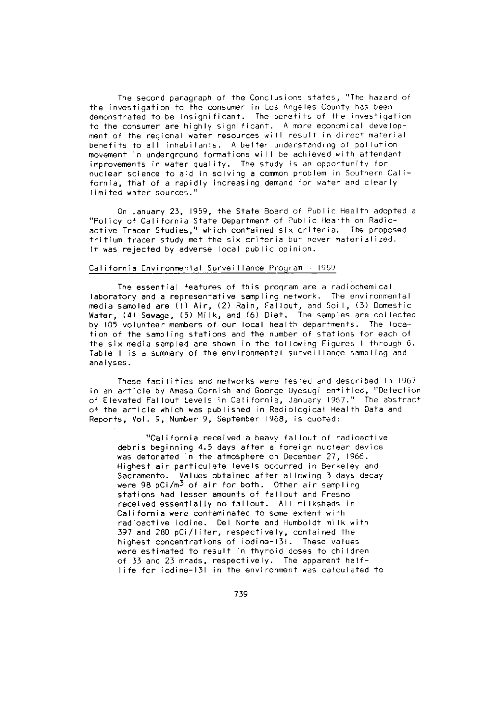The second paragraph of the Conclusions states, "The hazard of the investigation to the consumer in Los Angeles County has been demonstrated to be insignificant. The benefits of the investigation to the consumer are highly significant. A more economical development of the regional water resources will result in direct material benefits to all inhabitants. A better understanding of pollution movement in underground formations will be achieved with attendant improvements in water quality. The study is an opportunity for nuclear science to aid in solving a common problem in Southern California, that of a rapidly increasing demand for water and clearly limited water sources."

On January 23, 1959, the State Board of Public Health adopted a "Policy of California State Department of Public Health on Radioactive Tracer Studies," which contained six criteria. The proposed tritium tracer study met the six criteria but never materialized. It was rejected by adverse local public opinion.

# California Environmental Surveillance Program - <sup>1969</sup>

The essential features of this program are a radiochemical laboratory and a representative sampling network. The environmental media sampled are (1) Air, (2) Rain, Fallout, and Soil, (3) Domestic Water, (4) Sewage, (5) Milk, and (6) Diet. The samples are collected by 105 volunteer members of our local health departments. The location of the sampling stations and the number of stations for each of the six media sampled are shown in the following Figures I through 6. Table I is a summary of the environmental surveillance sampling and analyses.

These facilities and networks were tested and described in 1967 in an article by Amasa Cornish and George Uyesugi entitled, "Detection of Elevated Fallout Levels in California, January 1967." The abstract of the article which was published in Radiological Health Data and Reports, Vol. 9, Number 9, September 1968, is quoted:

"California received a heavy fallout of radioactive debris beginning 4.5 days after a foreign nuclear device was detonated in the atmosphere on December 27, 1966. Highest air particulate levels occurred in Berkeley and Sacramento. Values obtained after allowing 3 days decay were 98 pCi/m<sup>3</sup> of air for both. Other air sampling stations had lesser amounts of fallout and Fresno received essentially no fallout. All milksheds in California were contaminated to some extent with radioactive iodine. Del Norte and Humboldt milk with 397 and 280 pCi/liter, respectively, contained the highest concentrations of iodine-131. These values were estimated to result in thyroid doses to children of 33 and 23 mrads, respectively. The apparent halflife for iodine-131 in the environment was calculated to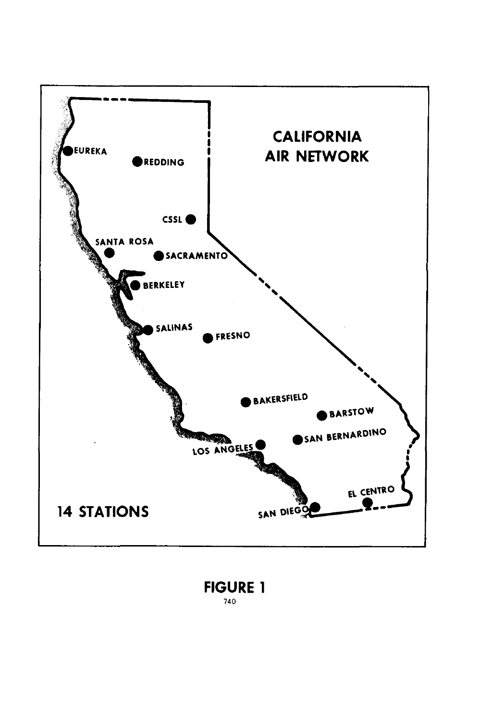

# **FIGURE 1** 740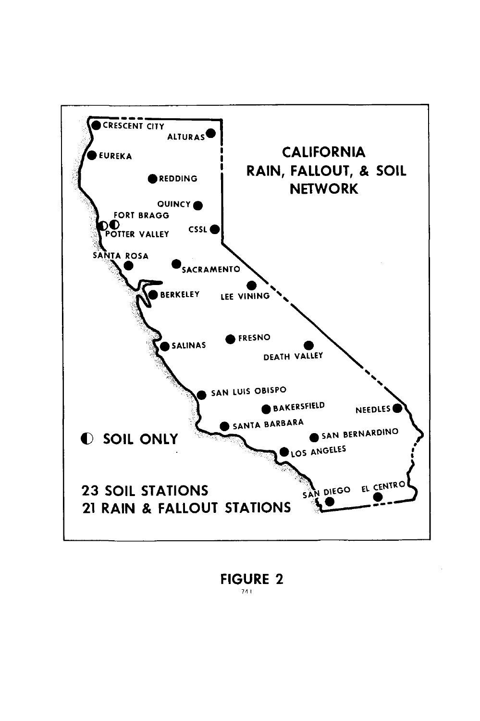

FIGURE 2 741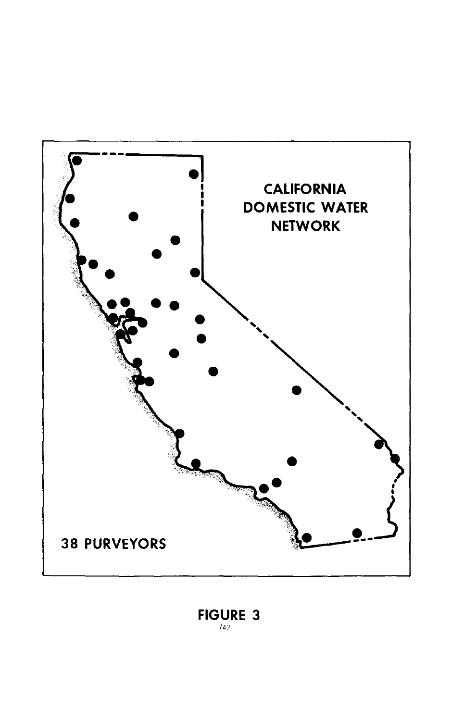

# FIGURE 3 *14?*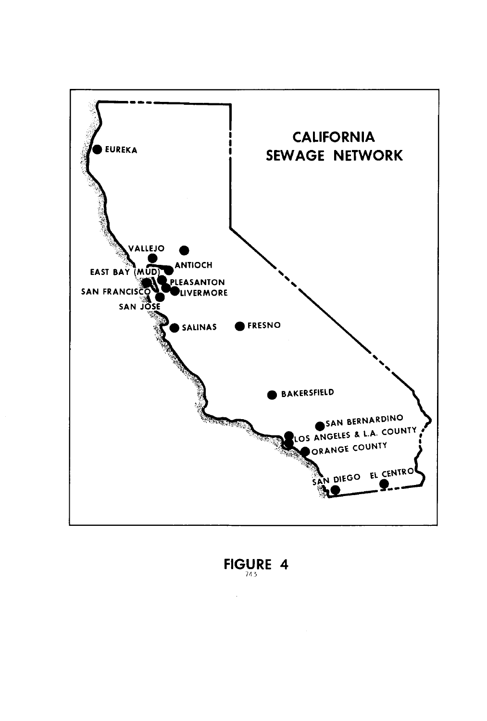

FIGURE 4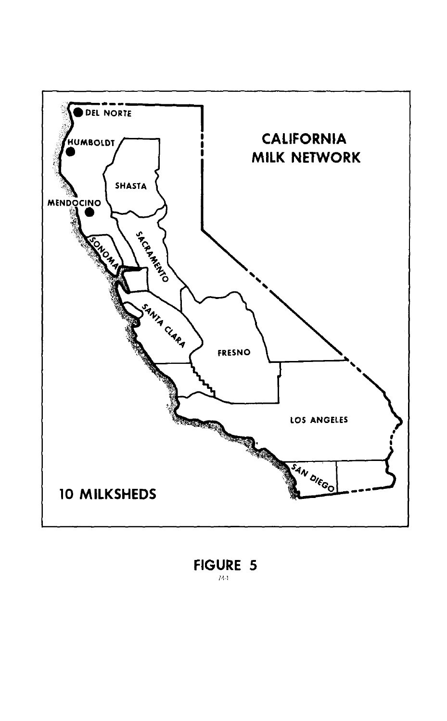

**FIGURE 5** /4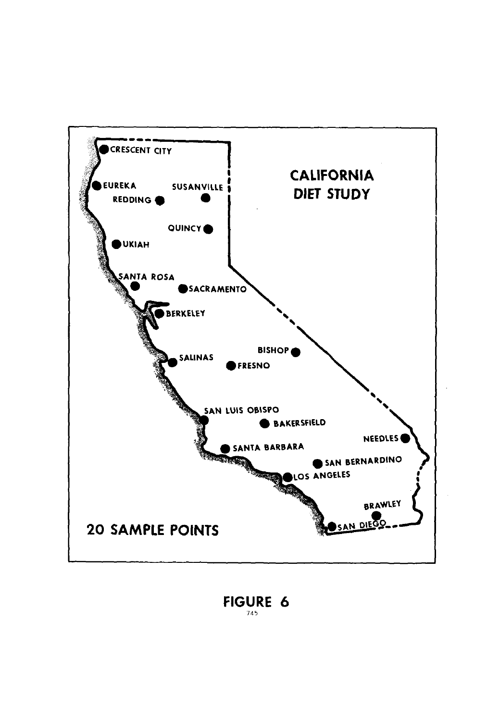

FIGURE 6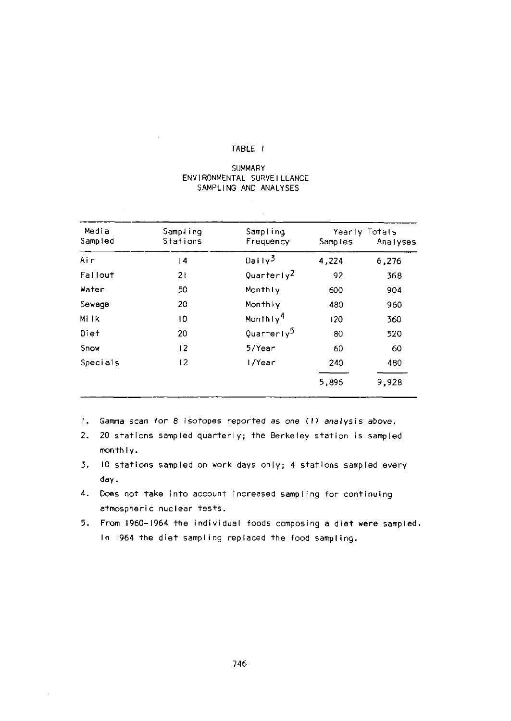# TABLE I

### SUMMARY ENVIRONMENTAL SURVEILLANCE SAMPLING AND ANALYSES

| Media<br>Sampled | Sampling<br>Stations | Sampling<br>Frequency  | Samples | Yearly Totals<br>Analyses |
|------------------|----------------------|------------------------|---------|---------------------------|
| Air              | 4                    | Daily <sup>3</sup>     | 4,224   | 6,276                     |
| Fallout          | 21                   | Quarterly <sup>2</sup> | 92      | 368                       |
| Water            | 50                   | Monthly                | 600     | 904                       |
| Sewage           | 20                   | Monthly                | 480     | 960                       |
| Mi Ik            | 10                   | Monthly <sup>4</sup>   | 120     | 360                       |
| Diet             | 20                   | Quarterly <sup>5</sup> | 80      | 520                       |
| Snow             | $\overline{2}$       | 5/Year                 | 60      | 60                        |
| Specials         | 12                   | I/Year                 | 240     | 480                       |
|                  |                      |                        | 5,896   | 9,928                     |

- I. Gamma scan for 8 isotopes reported as one (1) analysis above.
- *2.* 20 stations sampled quarterly; the Berkeley station is sampled monthly.
- 3. 10 stations sampled on work days only; 4 stations sampled every day.
- 4. Does not take into account increased ampling for continuing atmospheric nuclear tests.
- 5. From 1960-1964 the individual foods composing a diet were sampled. In 1964 the diet sampling replaced the food sampling.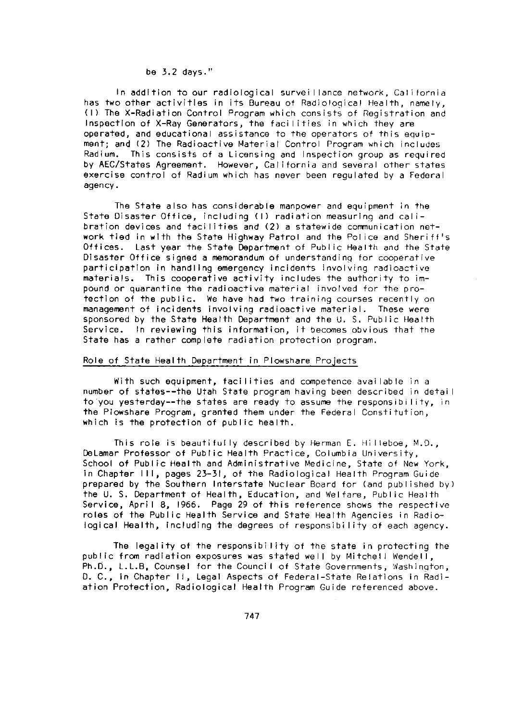#### be 32 days."

In addition to our radiological surveillance network, California has two other activities in its Bureau of Radiological Health, namely, (1) The X-Radiation Control Program which consists of Registration and Inspection of X-Ray Generators, the facilities in which they are operated, and educational assistance to the operators of this equipment; and (2) The Radioactive Material Control Program which includes Radium. This consists of a Licensing and Inspection group as required by AEC/States Agreement. However, California and several other states exercise control of Radium which has never been regulated by a Federal agency.

The State also has considerable manpower and equipment in the State Disaster Office, including (1) radiation measuring and calibration devices and facilities and (2) a statewide communication network tied in with the State Highway Patrol and the Police and Sheriff's Offices. Last year the State Department of Public Health and the State Disaster Office signed a memorandum of understanding for cooperative participation in handling emergency incidents involving radioactive materials. This cooperative activity includes the authority to impound or quarantine the radioactive material involved for the protection of the public. We have had two training courses recently on management of incidents involving radioactive material. These were sponsored by the State Health Department and the U. S. Public Health Service. In reviewing this information, it becomes obvious that the State has a rather complete radiation protection program.

# Role of State Health Department in Plowshare Projects

With such equipment, facilities and competence available in a number of states--the Utah State program having been described in detail to you yesterday--the states are ready to assume the responsibility, in the Piowshare Program, granted them under the Federal Constitution, which is the protection of public health.

This role is beautifully described by Herman E. Hilleboe, M.D., DeLamar Professor of Public Health Practice, Columbia University, School of Public Health and Administrative Medicine, State of New York, in Chapter 111, pages 23-31, of the Radiological Health Program Guide prepared by the Southern Interstate Nuclear Board for (and published by) the U. S. Department of Health, Education, and Welfare, Public Health Service, April 8, 1966. Page 29 of this reference shows the respective roles of the Public Health Service and State Health Agencies in Radiological Health, including the degrees of responsibility of each agency.

The legality of the responsibility of the state in protecting the public from radiation exposures was stated well by Mitchell Wendell, Ph.D., L.L.B, Counsel for the Council of State Governments, Washington, D. C., in Chapter II, Legal Aspects of Federal-State Relations in Radiation Protection, Radiological Health Program Guide referenced above.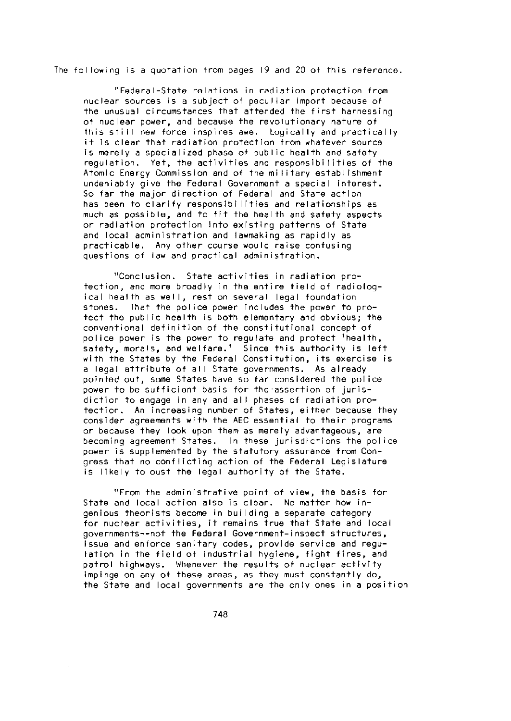The following is a quotation from pages 19 and 20 of this reference.

"Federal-State relations in radiation protection from nuclear sources is a subject of peculiar import because of the unusual circumstances that attended the first harnessing of nuclear power, and because the revolutionary nature of this still new force inspires awe. Logically and practically it is clear that radiation protection from whatever source is merely a specialized phase of public health and safety regulation. Yet, the activities and responsibilities of the Atomic Energy Commission and of the military establishment undeniably give the Federal Government a special interest. So far the major direction of Federal and State action has been to clarify responsibilities and relationships as much as possible, and to fit the health and safety aspects or radiation protection Into existing patterns of State and local administration and lawmaking as rapidly as practicable. Any other course would raise confusing questions of law and practical administration.

"Conclusion. State activities in radiation protection, and more broadly in the entire field of radiological health as well, rest on several legal foundation stones. That the police power includes the power to protect the public health is both elementary and obvious; the conventional definition of the constitutional concept of police power is the power to regulate and protect 'health, safety, morals, and welfare.' Since this authority is left with the States by the Federal Constitution, its exercise is a legal attribute of all State governments. As already pointed out, some States have so far considered the police power to be sufficient basis for the assertion of jurisdiction to engage in any and all phases of radiation protection. An increasing number of States, either because they consider agreements with the AEC essential to their programs or because they look upon them as merely advantageous, are becoming agreement States. In these jurisdictions the police power is supplemented by the statutory assurance from Congress that no conflicting action of the Federal Legislature is likely to oust the legal authority of the State.

"From the administrative point of view, the basis for State and local action also is clear. No matter how ingenious theorists become in building a separate category for nuclear activities, it remains true that State and local governments--not the Federal Government-inspect structures, issue and enforce sanitary codes, provide service and regulation in the field of industrial hygiene, fight fires, and patrol highways. Whenever the results of nuclear activity impinge on any of these areas, as they must constantly do, the State and local governments are the only ones in a position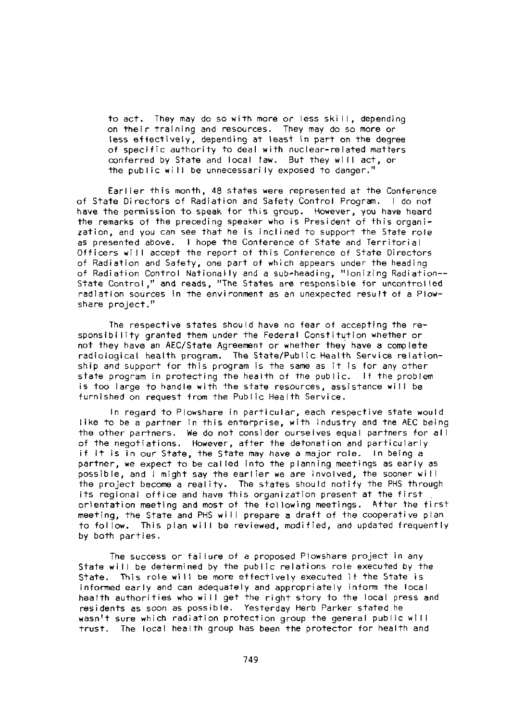to act. They may do so with more or less skill, depending on their training and resources. They may do so more or less effectively, depending at least in part on the degree of specific authority to deal with nuclear-related matters conferred by State and local law. But they will act, or the public will be unnecessarily exposed to danger."

Earlier this month, 48 states were represented at the Conference of State Directors of Radiation and Safety Control Program. I do not have the permission to speak for this group. However, you have heard the remarks of the preceding speaker who is President of this organization, and you can see that he is inclined to support the State role as presented above. I hope the Conference of State and Territorial Officers will accept the report of this Conference of State Directors of Radiation and Safety, one part of which appears under the heading of Radiation Control Nationally and a sub-heading, "Ionizing Radiation--- State Control," and reads, "The States are responsible for uncontrolled radiation sources in the environment as an unexpected result of a Plowshare project."

The respective states should have no fear of accepting the responsibility granted them under the Federal Constitution whether or not they have an AEC/State Agreement or whether they have a complete radiological health program. The State/Public Health Service relationship and support for this program is the same as it is for any other state program in protecting the health of the public. If the problem is too large to handle with the state resources, assistance will be furnished on request from the Public Health Service.

In regard to Plowshare in particular, each respective state would like to be a partner in this enterprise, with industry and the AEC being the other partners. We do not consider ourselves equal partners for a I of the negotiations. However, after the detonation and particularly if it is in our State, the State may have a major role. In being a partner, we expect to be called into the planning meetings as early as possible, and I might say the earlier we are involved, the sooner wi 11 the project become a reality. The states should notify the PHS through its regional office and have this organization present at the first orientation meeting and most of the following meetings. After the first meeting, the State and PHS will prepare a draft of the cooperative plan to follow. This plan will be reviewed, modified, and updated frequently by both parties.

The success or failure of a proposed Plowshare project in any State will be determined by the public relations role executed by the State. This role will be more effectively executed if the State is informed early and can adequately and appropriately inform the local health authorities who will get the right story to the local press and residents as soon as possible. Yesterday Herb Parker stated he wasn't sure which radiation protection group the general public wi I I trust. The local health group has been the protector for health and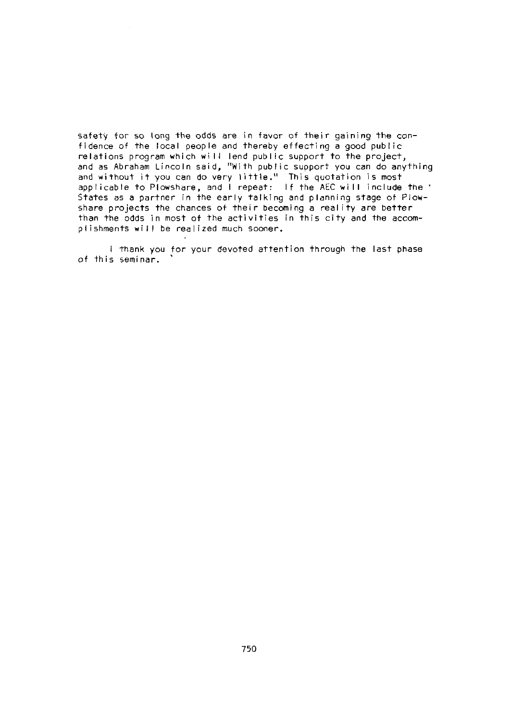safety for so long the odds are in favor of their gaining the confidence of the local people and thereby effecting a good public relations program which will lend public support to the project, and as Abraham Lincoln said, "With public support you can do anything and without it you can do very little." This quotation is most applicable to Plowshare, and I repeat: If the AEC will include the States as a partner in the early talking and planning stage of Plowshare projects the chances of their becoming a reality are better than the odds in most of the activities in this city and the accomplishments will be realized much sooner.

I thank you for your devoted attention through the last phase of this seminar.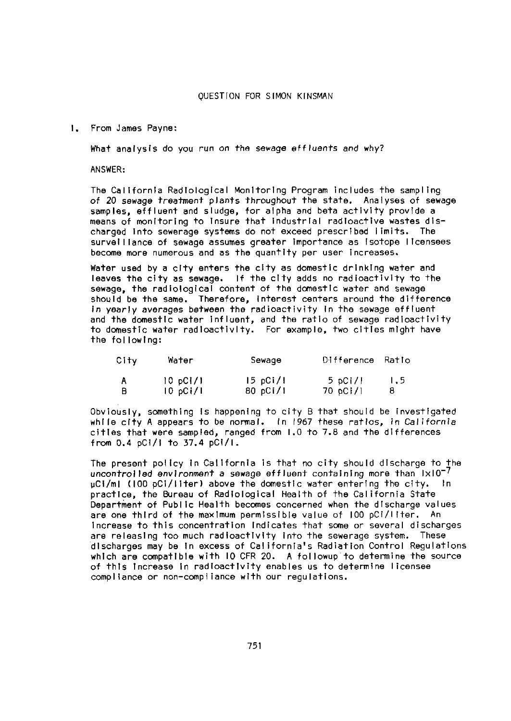From James Payne:

What analysis do you run on the sewage effluents and why?

ANSWER:

The California Radiological Monitoring Program Includes the sampling of 20 sewage treatment plants throughout the state. Analyses of sewage samples, effluent and sludge, for alpha and beta activity provide a means of monitoring to Insure that Industrial radioactive wastes discharged Into sewerage systems do not exceed prescribed limits. The surveillance of sewage assumes greater Importance as Isotope licensees become more numerous and as the quantity per user Increases.

Water used by a city enters the city as domestic drinking water and leaves the city as sewage. If the city adds no radioactivity to the sewage, the radiological content of the domestic water and sewage should be the same. Therefore, interest centers around the difference In yearly averages between the radioactivity In the sewage effluent and the domestic water Influent, and the ratio of sewage radioactivity to domestic water radioactivity. For example, two cities might have the following:

| City | Water   | Sewage   | Difference Ratio |     |
|------|---------|----------|------------------|-----|
| A    | 10pC1/1 | 15 pC1/I | 5 pCi/l          | 1.5 |
| в    | 10pC1/I | 80 pCi/1 | 70 pCi/l         | 8   |

Obviously, something is happening to city B that should be investigated while cty A appears to be normal. In 1967 these ratios, in California cities that were sampled, ranged from 1.0 to 78 and the differences from 04 pCI/I to 37.4 pCI/1.

The present policy in California is that no city should discharge to the uncontrolled environment a sewage effluent containing more than  $\text{lxl0}^{-7}$ VCI/ml (100 pCi/lIter) above the domestic water entering the city. In practice, the Bureau of Radiological Health of the California State Department of Public Health becomes concerned when the discharge values are one third of the maximum permissible value of 100 pCi/liter. An Increase to this concentration Indicates that some or several discharges are releasing too much radioactivity Into the sewerage system. These discharges may be In excess of California's Radiation Control Regulations which are compatible with 10 CFR 20. A followup to determine the source of this Increase In radioactivity enables us to determine licensee compliance or non-compliance with our regulations.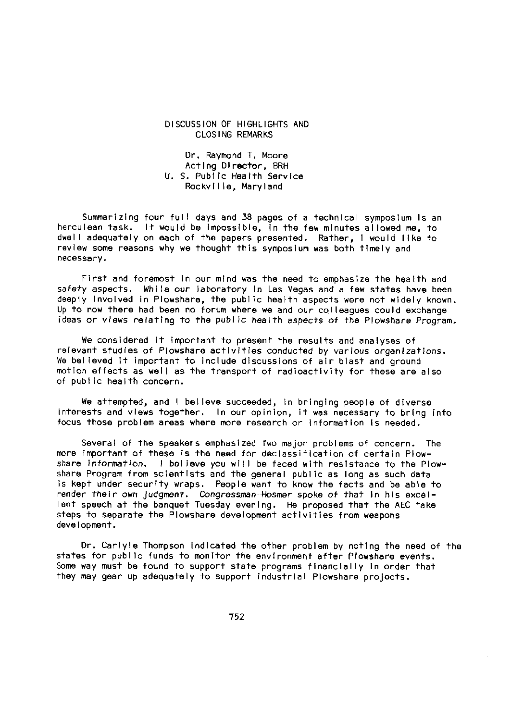#### DISCUSSION OF HIGHLIGHTS AND CLOSING REMARKS

Dr. Raymond T. Moore Acting Director, BRH U. S. Public Health Service Rockville, Maryland

Summarizing four full days and 38 pages of a technical symposium Is an herculean task. It would be impossible, In the few minutes allowed me, to dwell adequately on each of the papers presented. Rather, I would like to review some reasons why we thought this symposium was both timely and necessary.

First and foremost In our mind was the need to emphasize the health and safety aspects. While our laboratory In Las Vegas and a few states have been deeply Involved In Plowshare, the public health aspects were not widely known. Up to now there had been no forum where we and our colleagues could exchange ideas or views relating to the public health aspects of the Plowshare Program.

We considered it important to present the results and analyses of relevant studies of Plowshare activities conducted by various organizations. We believed It important to include discussions of air blast and ground motion effects as well as the transport of radioactivity for these are also of public health concern.

We attempted, and I believe succeeded, In bringing people of diverse interests and views together. In our opinion, it was necessary to bring into focus those problem areas where more research or information Is needed.

Several of the speakers emphasized fwo major problems of concern. The more Important of these Is the need for declassification of certain Plowshare Information. I believe you will be faced with resistance to the Plowshare Program from scientists and the general public as long as such data is kept under security wraps. People want to know the facts and be able to render their own judgment. Congressman-Hosmer spoke of that In his excellent speech at the banquet Tuesday evening. He proposed that the AEC take steps to separate the Plowshare development activities from weapons development.

Dr. Carlyle Thompson indicated the other problem by noting the need of the states for public funds to monitor the environment after Plowshare events. Some way must be found to support state programs financially in order that they may gear up adequately to support industrial Plowshare projects.